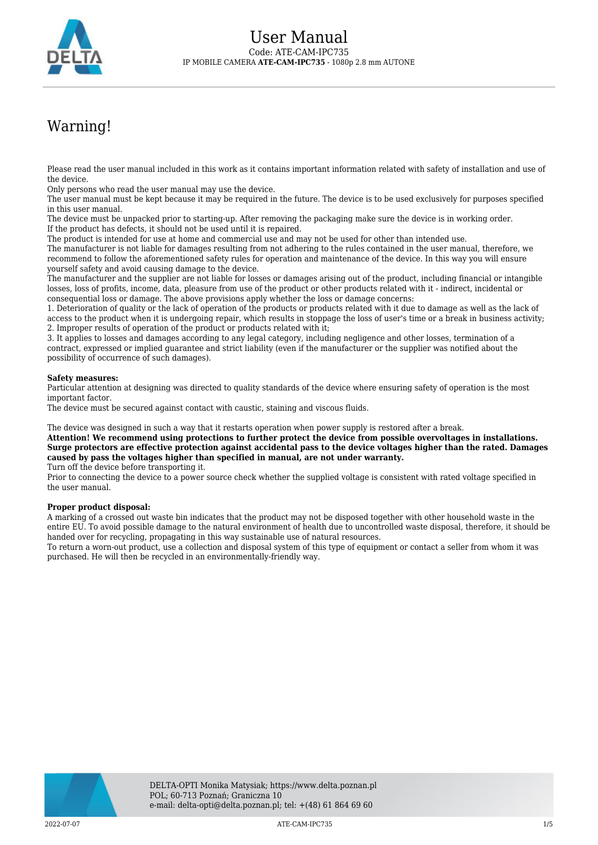

# Warning!

Please read the user manual included in this work as it contains important information related with safety of installation and use of the device.

Only persons who read the user manual may use the device.

The user manual must be kept because it may be required in the future. The device is to be used exclusively for purposes specified in this user manual.

The device must be unpacked prior to starting-up. After removing the packaging make sure the device is in working order. If the product has defects, it should not be used until it is repaired.

The product is intended for use at home and commercial use and may not be used for other than intended use.

The manufacturer is not liable for damages resulting from not adhering to the rules contained in the user manual, therefore, we recommend to follow the aforementioned safety rules for operation and maintenance of the device. In this way you will ensure yourself safety and avoid causing damage to the device.

The manufacturer and the supplier are not liable for losses or damages arising out of the product, including financial or intangible losses, loss of profits, income, data, pleasure from use of the product or other products related with it - indirect, incidental or consequential loss or damage. The above provisions apply whether the loss or damage concerns:

1. Deterioration of quality or the lack of operation of the products or products related with it due to damage as well as the lack of access to the product when it is undergoing repair, which results in stoppage the loss of user's time or a break in business activity; 2. Improper results of operation of the product or products related with it;

3. It applies to losses and damages according to any legal category, including negligence and other losses, termination of a contract, expressed or implied guarantee and strict liability (even if the manufacturer or the supplier was notified about the possibility of occurrence of such damages).

#### **Safety measures:**

Particular attention at designing was directed to quality standards of the device where ensuring safety of operation is the most important factor.

The device must be secured against contact with caustic, staining and viscous fluids.

The device was designed in such a way that it restarts operation when power supply is restored after a break.

**Attention! We recommend using protections to further protect the device from possible overvoltages in installations. Surge protectors are effective protection against accidental pass to the device voltages higher than the rated. Damages caused by pass the voltages higher than specified in manual, are not under warranty.**

Turn off the device before transporting it.

Prior to connecting the device to a power source check whether the supplied voltage is consistent with rated voltage specified in the user manual.

#### **Proper product disposal:**

A marking of a crossed out waste bin indicates that the product may not be disposed together with other household waste in the entire EU. To avoid possible damage to the natural environment of health due to uncontrolled waste disposal, therefore, it should be handed over for recycling, propagating in this way sustainable use of natural resources.

To return a worn-out product, use a collection and disposal system of this type of equipment or contact a seller from whom it was purchased. He will then be recycled in an environmentally-friendly way.

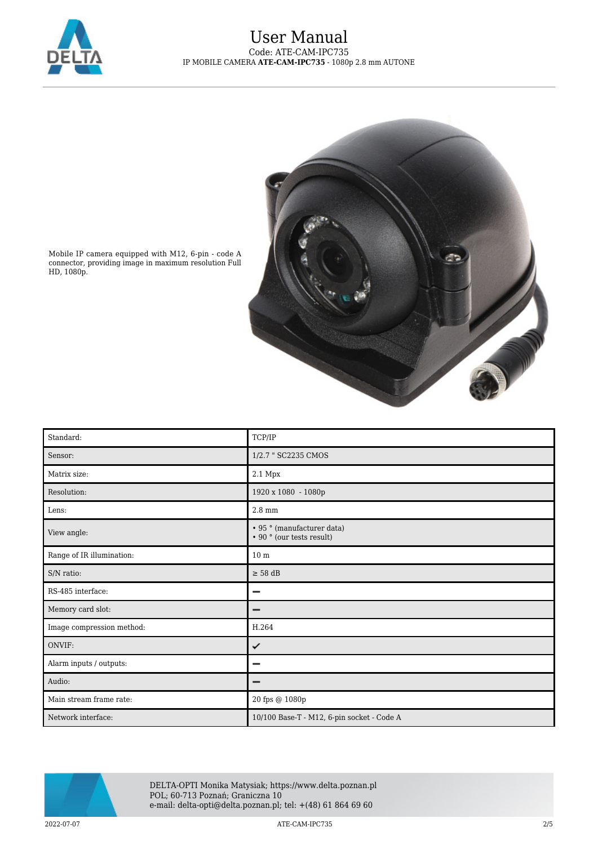

## User Manual Code: ATE-CAM-IPC735 IP MOBILE CAMERA **ATE-CAM-IPC735** - 1080p 2.8 mm AUTONE



Mobile IP camera equipped with M12, 6-pin - code A connector, providing image in maximum resolution Full HD, 1080p.

| Standard:                 | TCP/IP                                                                 |
|---------------------------|------------------------------------------------------------------------|
| Sensor:                   | 1/2.7 " SC2235 CMOS                                                    |
| Matrix size:              | 2.1 Mpx                                                                |
| Resolution:               | 1920 x 1080 - 1080p                                                    |
| Lens:                     | $2.8 \text{ mm}$                                                       |
| View angle:               | • 95 ° (manufacturer data)<br>$\cdot$ 90 $^{\circ}$ (our tests result) |
| Range of IR illumination: | 10 <sub>m</sub>                                                        |
| S/N ratio:                | $\geq$ 58 dB                                                           |
| RS-485 interface:         | −                                                                      |
| Memory card slot:         | –                                                                      |
| Image compression method: | H.264                                                                  |
| ONVIF:                    | ✓                                                                      |
| Alarm inputs / outputs:   |                                                                        |
| Audio:                    |                                                                        |
| Main stream frame rate:   | 20 fps @ 1080p                                                         |
| Network interface:        | 10/100 Base-T - M12, 6-pin socket - Code A                             |



DELTA-OPTI Monika Matysiak; https://www.delta.poznan.pl POL; 60-713 Poznań; Graniczna 10 e-mail: delta-opti@delta.poznan.pl; tel: +(48) 61 864 69 60

2022-07-07 ATE-CAM-IPC735 2/5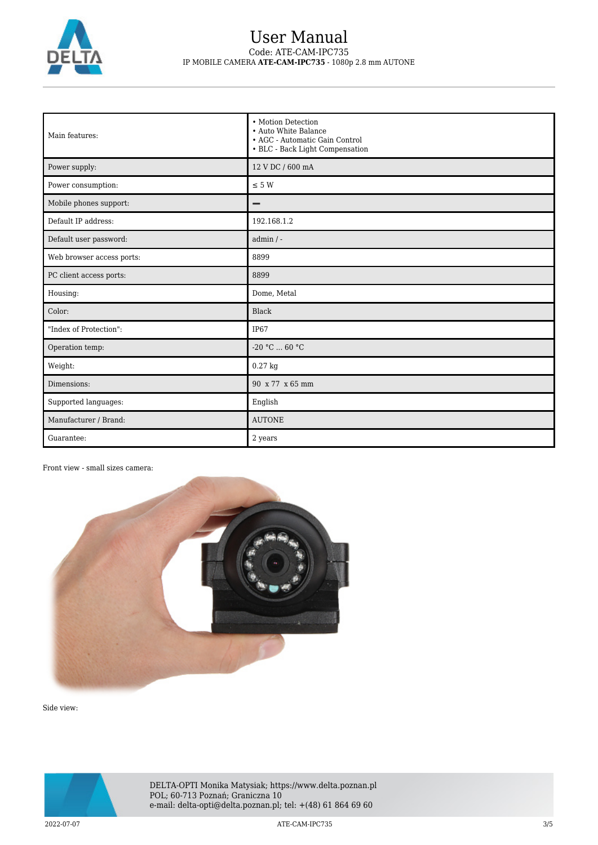

### User Manual Code: ATE-CAM-IPC735 IP MOBILE CAMERA **ATE-CAM-IPC735** - 1080p 2.8 mm AUTONE

| Main features:            | • Motion Detection<br>• Auto White Balance<br>• AGC - Automatic Gain Control<br>• BLC - Back Light Compensation |
|---------------------------|-----------------------------------------------------------------------------------------------------------------|
| Power supply:             | 12 V DC / 600 mA                                                                                                |
| Power consumption:        | $\leq$ 5 W                                                                                                      |
| Mobile phones support:    | -                                                                                                               |
| Default IP address:       | 192.168.1.2                                                                                                     |
| Default user password:    | $admin / -$                                                                                                     |
| Web browser access ports: | 8899                                                                                                            |
| PC client access ports:   | 8899                                                                                                            |
| Housing:                  | Dome, Metal                                                                                                     |
| Color:                    | <b>Black</b>                                                                                                    |
| "Index of Protection":    | IP67                                                                                                            |
| Operation temp:           | $-20 °C  60 °C$                                                                                                 |
| Weight:                   | $0.27$ kg                                                                                                       |
| Dimensions:               | 90 x 77 x 65 mm                                                                                                 |
| Supported languages:      | English                                                                                                         |
| Manufacturer / Brand:     | <b>AUTONE</b>                                                                                                   |
| Guarantee:                | 2 years                                                                                                         |

### Front view - small sizes camera:



Side view:



DELTA-OPTI Monika Matysiak; https://www.delta.poznan.pl POL; 60-713 Poznań; Graniczna 10 e-mail: delta-opti@delta.poznan.pl; tel: +(48) 61 864 69 60

2022-07-07 ATE-CAM-IPC735 3/5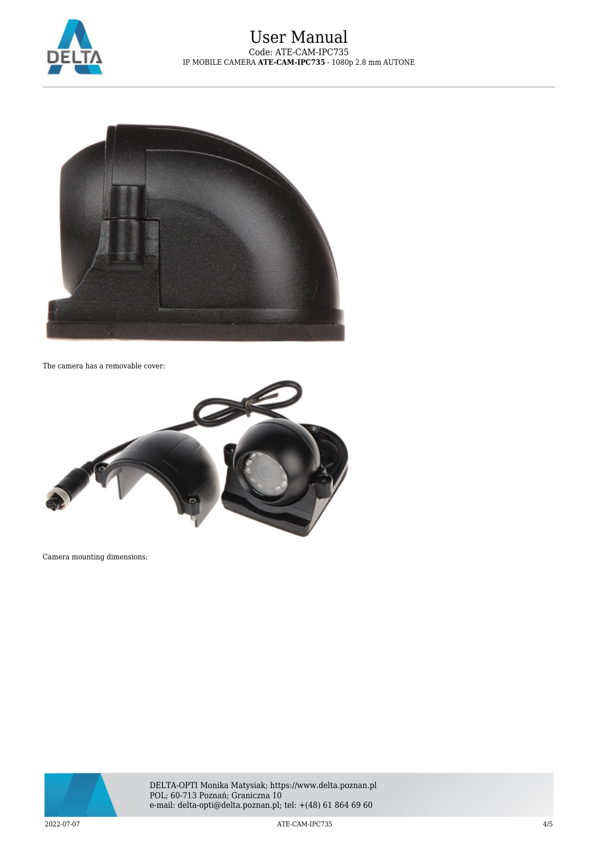



The camera has a removable cover:



Camera mounting dimensions:



DELTA-OPTI Monika Matysiak; https://www.delta.poznan.pl POL; 60-713 Poznań; Graniczna 10 e-mail: delta-opti@delta.poznan.pl; tel: +(48) 61 864 69 60

2022-07-07 ATE-CAM-IPC735 4/5